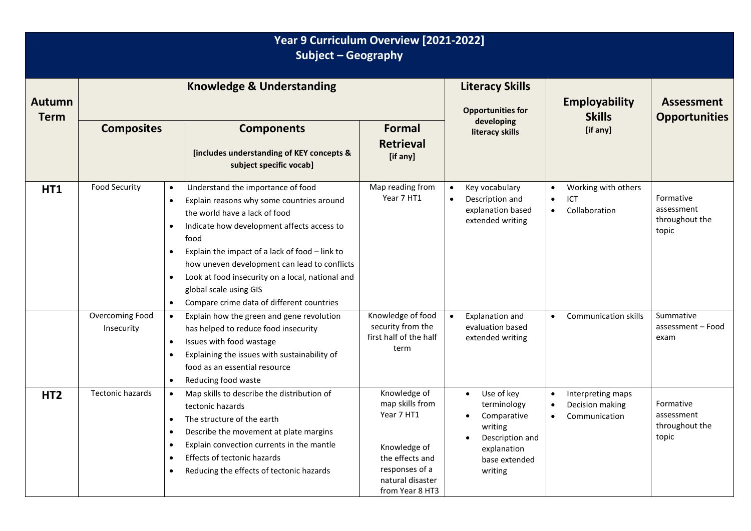| Year 9 Curriculum Overview [2021-2022]<br>Subject - Geography |                                                                                                       |                                                                                                                                                                                                                                                                                                                                                                                                    |                                                                                                                                           |                                                                                                                   |                                                                                 |                                                    |  |
|---------------------------------------------------------------|-------------------------------------------------------------------------------------------------------|----------------------------------------------------------------------------------------------------------------------------------------------------------------------------------------------------------------------------------------------------------------------------------------------------------------------------------------------------------------------------------------------------|-------------------------------------------------------------------------------------------------------------------------------------------|-------------------------------------------------------------------------------------------------------------------|---------------------------------------------------------------------------------|----------------------------------------------------|--|
| <b>Autumn</b><br><b>Term</b>                                  | <b>Knowledge &amp; Understanding</b>                                                                  |                                                                                                                                                                                                                                                                                                                                                                                                    |                                                                                                                                           | <b>Literacy Skills</b><br><b>Opportunities for</b>                                                                | <b>Employability</b><br><b>Skills</b>                                           | <b>Assessment</b><br><b>Opportunities</b>          |  |
|                                                               | <b>Composites</b>                                                                                     | <b>Components</b><br>[includes understanding of KEY concepts &<br>subject specific vocab]                                                                                                                                                                                                                                                                                                          | <b>Formal</b><br><b>Retrieval</b><br>[if any]                                                                                             | developing<br>literacy skills                                                                                     | [if any]                                                                        |                                                    |  |
| <b>HT1</b>                                                    | <b>Food Security</b><br>$\bullet$<br>$\bullet$<br>$\bullet$<br>$\bullet$<br>$\bullet$<br>$\bullet$    | Understand the importance of food<br>Explain reasons why some countries around<br>the world have a lack of food<br>Indicate how development affects access to<br>food<br>Explain the impact of a lack of food - link to<br>how uneven development can lead to conflicts<br>Look at food insecurity on a local, national and<br>global scale using GIS<br>Compare crime data of different countries | Map reading from<br>Year 7 HT1                                                                                                            | Key vocabulary<br>Description and<br>explanation based<br>extended writing                                        | Working with others<br>ICT<br>$\bullet$<br>Collaboration<br>$\bullet$           | Formative<br>assessment<br>throughout the<br>topic |  |
|                                                               | Overcoming Food<br>$\bullet$<br>Insecurity<br>$\bullet$<br>$\bullet$<br>$\bullet$                     | Explain how the green and gene revolution<br>has helped to reduce food insecurity<br>Issues with food wastage<br>Explaining the issues with sustainability of<br>food as an essential resource<br>Reducing food waste                                                                                                                                                                              | Knowledge of food<br>security from the<br>first half of the half<br>term                                                                  | Explanation and<br>evaluation based<br>extended writing                                                           | <b>Communication skills</b>                                                     | Summative<br>assessment - Food<br>exam             |  |
| HT <sub>2</sub>                                               | <b>Tectonic hazards</b><br>$\bullet$<br>$\bullet$<br>$\bullet$<br>$\bullet$<br>$\bullet$<br>$\bullet$ | Map skills to describe the distribution of<br>tectonic hazards<br>The structure of the earth<br>Describe the movement at plate margins<br>Explain convection currents in the mantle<br>Effects of tectonic hazards<br>Reducing the effects of tectonic hazards                                                                                                                                     | Knowledge of<br>map skills from<br>Year 7 HT1<br>Knowledge of<br>the effects and<br>responses of a<br>natural disaster<br>from Year 8 HT3 | Use of key<br>terminology<br>Comparative<br>writing<br>Description and<br>explanation<br>base extended<br>writing | Interpreting maps<br>$\bullet$<br>Decision making<br>Communication<br>$\bullet$ | Formative<br>assessment<br>throughout the<br>topic |  |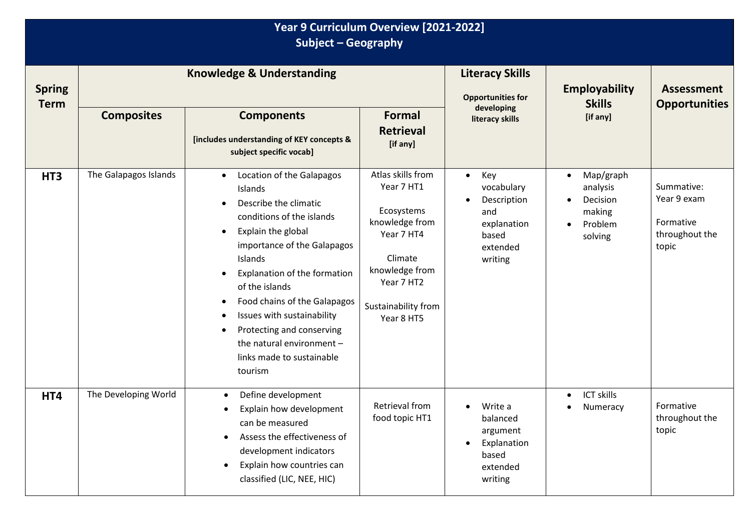## **Year 9 Curriculum Overview [2021-2022] Subject – Geography**

| <b>Spring</b><br><b>Term</b> | <b>Knowledge &amp; Understanding</b> |                                                                                                                                                                                                                                                                                                                                                                                                                                                                         |                                                                                                                                                               | <b>Literacy Skills</b><br><b>Opportunities for</b><br>developing                                                 | <b>Employability</b><br><b>Skills</b>                                                       | <b>Assessment</b><br><b>Opportunities</b>                         |
|------------------------------|--------------------------------------|-------------------------------------------------------------------------------------------------------------------------------------------------------------------------------------------------------------------------------------------------------------------------------------------------------------------------------------------------------------------------------------------------------------------------------------------------------------------------|---------------------------------------------------------------------------------------------------------------------------------------------------------------|------------------------------------------------------------------------------------------------------------------|---------------------------------------------------------------------------------------------|-------------------------------------------------------------------|
|                              | <b>Composites</b>                    | <b>Components</b><br>[includes understanding of KEY concepts &<br>subject specific vocab]                                                                                                                                                                                                                                                                                                                                                                               | <b>Formal</b><br><b>Retrieval</b><br>[if any]                                                                                                                 | literacy skills                                                                                                  | [if any]                                                                                    |                                                                   |
| HT <sub>3</sub>              | The Galapagos Islands                | Location of the Galapagos<br>$\bullet$<br>Islands<br>Describe the climatic<br>$\bullet$<br>conditions of the islands<br>Explain the global<br>$\bullet$<br>importance of the Galapagos<br>Islands<br>Explanation of the formation<br>$\bullet$<br>of the islands<br>Food chains of the Galapagos<br>$\bullet$<br>Issues with sustainability<br>$\bullet$<br>Protecting and conserving<br>$\bullet$<br>the natural environment -<br>links made to sustainable<br>tourism | Atlas skills from<br>Year 7 HT1<br>Ecosystems<br>knowledge from<br>Year 7 HT4<br>Climate<br>knowledge from<br>Year 7 HT2<br>Sustainability from<br>Year 8 HT5 | Key<br>$\bullet$<br>vocabulary<br>Description<br>$\bullet$<br>and<br>explanation<br>based<br>extended<br>writing | Map/graph<br>$\bullet$<br>analysis<br>Decision<br>making<br>Problem<br>$\bullet$<br>solving | Summative:<br>Year 9 exam<br>Formative<br>throughout the<br>topic |
| HT4                          | The Developing World                 | Define development<br>$\bullet$<br>Explain how development<br>$\bullet$<br>can be measured<br>Assess the effectiveness of<br>$\bullet$<br>development indicators<br>Explain how countries can<br>$\bullet$<br>classified (LIC, NEE, HIC)                                                                                                                                                                                                                                | Retrieval from<br>food topic HT1                                                                                                                              | Write a<br>$\bullet$<br>balanced<br>argument<br>Explanation<br>$\bullet$<br>based<br>extended<br>writing         | <b>ICT skills</b><br>$\bullet$<br>Numeracy<br>$\bullet$                                     | Formative<br>throughout the<br>topic                              |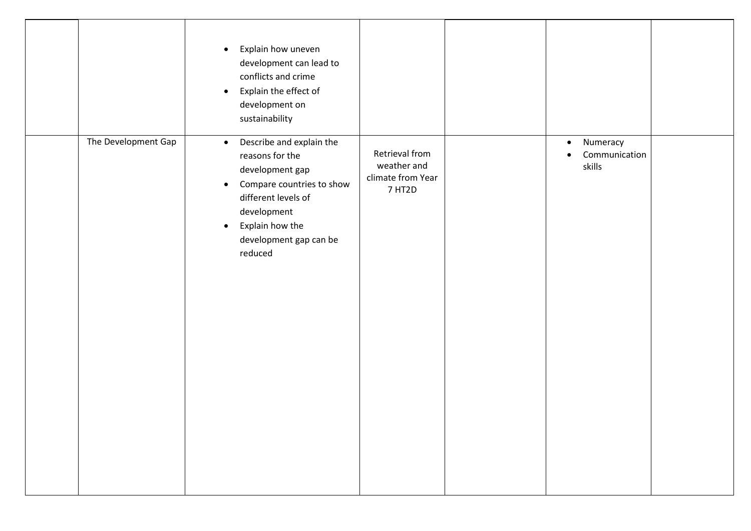|                     | Explain how uneven<br>$\bullet$<br>development can lead to<br>conflicts and crime<br>Explain the effect of<br>$\bullet$<br>development on<br>sustainability                                                                      |                                                              |                                                  |  |
|---------------------|----------------------------------------------------------------------------------------------------------------------------------------------------------------------------------------------------------------------------------|--------------------------------------------------------------|--------------------------------------------------|--|
| The Development Gap | Describe and explain the<br>$\bullet$<br>reasons for the<br>development gap<br>Compare countries to show<br>$\bullet$<br>different levels of<br>development<br>Explain how the<br>$\bullet$<br>development gap can be<br>reduced | Retrieval from<br>weather and<br>climate from Year<br>7 HT2D | Numeracy<br>$\bullet$<br>Communication<br>skills |  |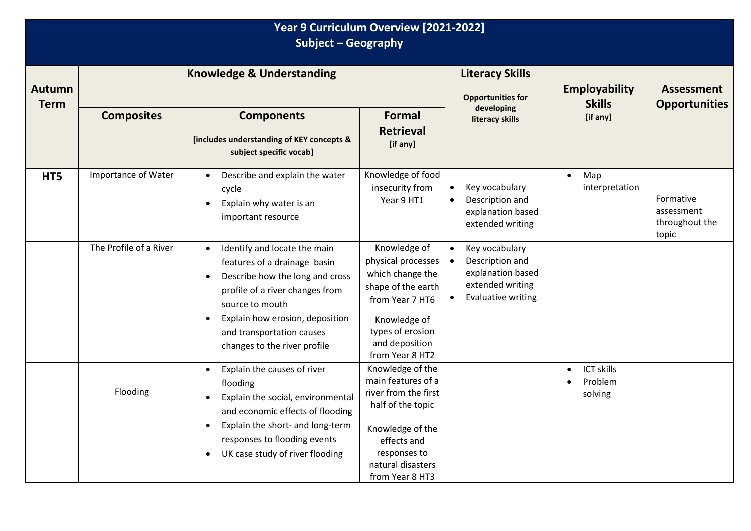| Year 9 Curriculum Overview [2021-2022]<br>Subject - Geography |                                      |                                                                                                                                                                                                                                                       |                                                                                                                                                                                |                                                                                                                      |                                                      |                                                    |  |
|---------------------------------------------------------------|--------------------------------------|-------------------------------------------------------------------------------------------------------------------------------------------------------------------------------------------------------------------------------------------------------|--------------------------------------------------------------------------------------------------------------------------------------------------------------------------------|----------------------------------------------------------------------------------------------------------------------|------------------------------------------------------|----------------------------------------------------|--|
| <b>Autumn</b><br><b>Term</b>                                  | <b>Knowledge &amp; Understanding</b> |                                                                                                                                                                                                                                                       |                                                                                                                                                                                | <b>Literacy Skills</b><br><b>Opportunities for</b>                                                                   | <b>Employability</b><br><b>Skills</b>                | <b>Assessment</b><br><b>Opportunities</b>          |  |
|                                                               | <b>Composites</b>                    | <b>Components</b><br>[includes understanding of KEY concepts &<br>subject specific vocab]                                                                                                                                                             | Formal<br><b>Retrieval</b><br>[if any]                                                                                                                                         | developing<br>literacy skills                                                                                        | [if any]                                             |                                                    |  |
| HT5                                                           | Importance of Water                  | Describe and explain the water<br>cycle<br>Explain why water is an<br>important resource                                                                                                                                                              | Knowledge of food<br>insecurity from<br>Year 9 HT1                                                                                                                             | Key vocabulary<br>Description and<br>explanation based<br>extended writing                                           | Map<br>$\bullet$<br>interpretation                   | Formative<br>assessment<br>throughout the<br>topic |  |
|                                                               | The Profile of a River               | Identify and locate the main<br>features of a drainage basin<br>Describe how the long and cross<br>profile of a river changes from<br>source to mouth<br>Explain how erosion, deposition<br>and transportation causes<br>changes to the river profile | Knowledge of<br>physical processes<br>which change the<br>shape of the earth<br>from Year 7 HT6<br>Knowledge of<br>types of erosion<br>and deposition<br>from Year 8 HT2       | Key vocabulary<br>Description and<br>$\bullet$<br>explanation based<br>extended writing<br><b>Evaluative writing</b> |                                                      |                                                    |  |
|                                                               | Flooding                             | Explain the causes of river<br>$\bullet$<br>flooding<br>Explain the social, environmental<br>and economic effects of flooding<br>Explain the short- and long-term<br>responses to flooding events<br>UK case study of river flooding                  | Knowledge of the<br>main features of a<br>river from the first<br>half of the topic<br>Knowledge of the<br>effects and<br>responses to<br>natural disasters<br>from Year 8 HT3 |                                                                                                                      | <b>ICT skills</b><br>$\bullet$<br>Problem<br>solving |                                                    |  |